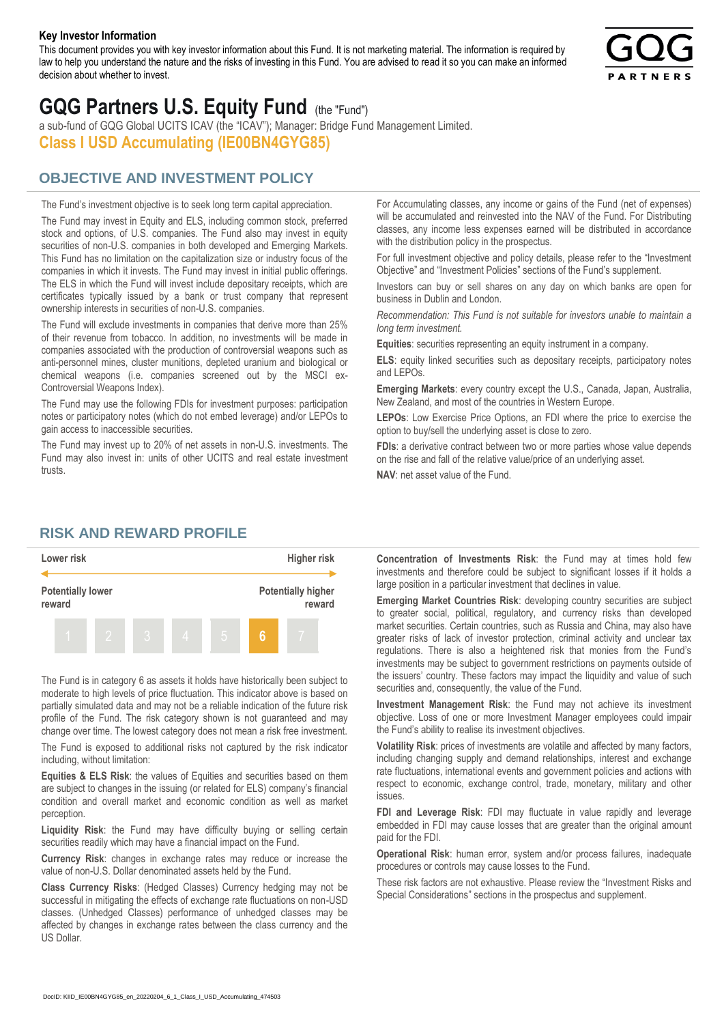#### **Key Investor Information**

This document provides you with key investor information about this Fund. It is not marketing material. The information is required by law to help you understand the nature and the risks of investing in this Fund. You are advised to read it so you can make an informed decision about whether to invest.



# **GQG Partners U.S. Equity Fund** (the "Fund")

a sub-fund of GQG Global UCITS ICAV (the "ICAV"); Manager: Bridge Fund Management Limited. **Class I USD Accumulating (IE00BN4GYG85)**

### **OBJECTIVE AND INVESTMENT POLICY**

The Fund's investment objective is to seek long term capital appreciation. The Fund may invest in Equity and ELS, including common stock, preferred stock and options, of U.S. companies. The Fund also may invest in equity securities of non-U.S. companies in both developed and Emerging Markets. This Fund has no limitation on the capitalization size or industry focus of the companies in which it invests. The Fund may invest in initial public offerings. The ELS in which the Fund will invest include depositary receipts, which are certificates typically issued by a bank or trust company that represent ownership interests in securities of non-U.S. companies.

The Fund will exclude investments in companies that derive more than 25% of their revenue from tobacco. In addition, no investments will be made in companies associated with the production of controversial weapons such as anti-personnel mines, cluster munitions, depleted uranium and biological or chemical weapons (i.e. companies screened out by the MSCI ex-Controversial Weapons Index).

The Fund may use the following FDIs for investment purposes: participation notes or participatory notes (which do not embed leverage) and/or LEPOs to gain access to inaccessible securities.

The Fund may invest up to 20% of net assets in non-U.S. investments. The Fund may also invest in: units of other UCITS and real estate investment trusts.

For Accumulating classes, any income or gains of the Fund (net of expenses) will be accumulated and reinvested into the NAV of the Fund. For Distributing classes, any income less expenses earned will be distributed in accordance with the distribution policy in the prospectus.

For full investment objective and policy details, please refer to the "Investment Objective" and "Investment Policies" sections of the Fund's supplement.

Investors can buy or sell shares on any day on which banks are open for business in Dublin and London.

*Recommendation: This Fund is not suitable for investors unable to maintain a long term investment.*

**Equities**: securities representing an equity instrument in a company.

**ELS**: equity linked securities such as depositary receipts, participatory notes and LEPOs.

**Emerging Markets**: every country except the U.S., Canada, Japan, Australia, New Zealand, and most of the countries in Western Europe.

**LEPOs**: Low Exercise Price Options, an FDI where the price to exercise the option to buy/sell the underlying asset is close to zero.

**FDIs**: a derivative contract between two or more parties whose value depends on the rise and fall of the relative value/price of an underlying asset.

**NAV**: net asset value of the Fund.

#### **RISK AND REWARD PROFILE**



The Fund is in category 6 as assets it holds have historically been subject to moderate to high levels of price fluctuation. This indicator above is based on partially simulated data and may not be a reliable indication of the future risk profile of the Fund. The risk category shown is not guaranteed and may change over time. The lowest category does not mean a risk free investment.

The Fund is exposed to additional risks not captured by the risk indicator including, without limitation:

**Equities & ELS Risk**: the values of Equities and securities based on them are subject to changes in the issuing (or related for ELS) company's financial condition and overall market and economic condition as well as market perception.

**Liquidity Risk**: the Fund may have difficulty buying or selling certain securities readily which may have a financial impact on the Fund.

**Currency Risk**: changes in exchange rates may reduce or increase the value of non-U.S. Dollar denominated assets held by the Fund.

**Class Currency Risks**: (Hedged Classes) Currency hedging may not be successful in mitigating the effects of exchange rate fluctuations on non-USD classes. (Unhedged Classes) performance of unhedged classes may be affected by changes in exchange rates between the class currency and the US Dollar.

**Concentration of Investments Risk**: the Fund may at times hold few investments and therefore could be subject to significant losses if it holds a large position in a particular investment that declines in value.

**Emerging Market Countries Risk**: developing country securities are subject to greater social, political, regulatory, and currency risks than developed market securities. Certain countries, such as Russia and China, may also have greater risks of lack of investor protection, criminal activity and unclear tax regulations. There is also a heightened risk that monies from the Fund's investments may be subject to government restrictions on payments outside of the issuers' country. These factors may impact the liquidity and value of such securities and, consequently, the value of the Fund.

**Investment Management Risk**: the Fund may not achieve its investment objective. Loss of one or more Investment Manager employees could impair the Fund's ability to realise its investment objectives.

**Volatility Risk**: prices of investments are volatile and affected by many factors, including changing supply and demand relationships, interest and exchange rate fluctuations, international events and government policies and actions with respect to economic, exchange control, trade, monetary, military and other issues.

**FDI and Leverage Risk**: FDI may fluctuate in value rapidly and leverage embedded in FDI may cause losses that are greater than the original amount paid for the FDI.

**Operational Risk**: human error, system and/or process failures, inadequate procedures or controls may cause losses to the Fund.

These risk factors are not exhaustive. Please review the "Investment Risks and Special Considerations" sections in the prospectus and supplement.